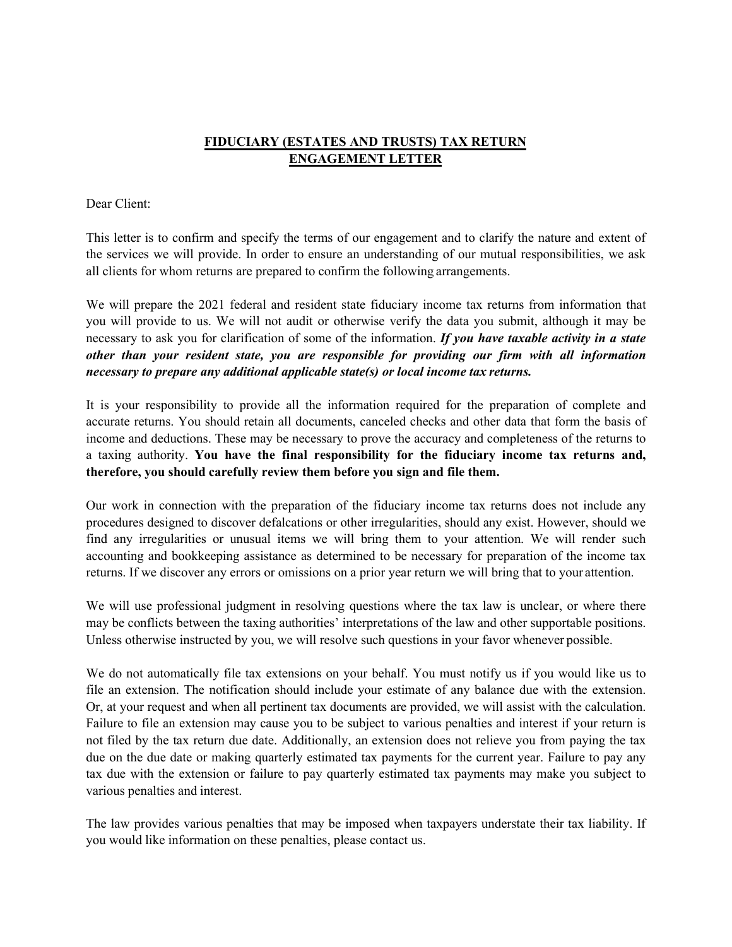## **FIDUCIARY (ESTATES AND TRUSTS) TAX RETURN ENGAGEMENT LETTER**

## Dear Client:

This letter is to confirm and specify the terms of our engagement and to clarify the nature and extent of the services we will provide. In order to ensure an understanding of our mutual responsibilities, we ask all clients for whom returns are prepared to confirm the following arrangements.

We will prepare the 2021 federal and resident state fiduciary income tax returns from information that you will provide to us. We will not audit or otherwise verify the data you submit, although it may be necessary to ask you for clarification of some of the information. *If you have taxable activity in a state other than your resident state, you are responsible for providing our firm with all information necessary to prepare any additional applicable state(s) or local income tax returns.*

It is your responsibility to provide all the information required for the preparation of complete and accurate returns. You should retain all documents, canceled checks and other data that form the basis of income and deductions. These may be necessary to prove the accuracy and completeness of the returns to a taxing authority. **You have the final responsibility for the fiduciary income tax returns and, therefore, you should carefully review them before you sign and file them.**

Our work in connection with the preparation of the fiduciary income tax returns does not include any procedures designed to discover defalcations or other irregularities, should any exist. However, should we find any irregularities or unusual items we will bring them to your attention. We will render such accounting and bookkeeping assistance as determined to be necessary for preparation of the income tax returns. If we discover any errors or omissions on a prior year return we will bring that to your attention.

We will use professional judgment in resolving questions where the tax law is unclear, or where there may be conflicts between the taxing authorities' interpretations of the law and other supportable positions. Unless otherwise instructed by you, we will resolve such questions in your favor whenever possible.

We do not automatically file tax extensions on your behalf. You must notify us if you would like us to file an extension. The notification should include your estimate of any balance due with the extension. Or, at your request and when all pertinent tax documents are provided, we will assist with the calculation. Failure to file an extension may cause you to be subject to various penalties and interest if your return is not filed by the tax return due date. Additionally, an extension does not relieve you from paying the tax due on the due date or making quarterly estimated tax payments for the current year. Failure to pay any tax due with the extension or failure to pay quarterly estimated tax payments may make you subject to various penalties and interest.

The law provides various penalties that may be imposed when taxpayers understate their tax liability. If you would like information on these penalties, please contact us.